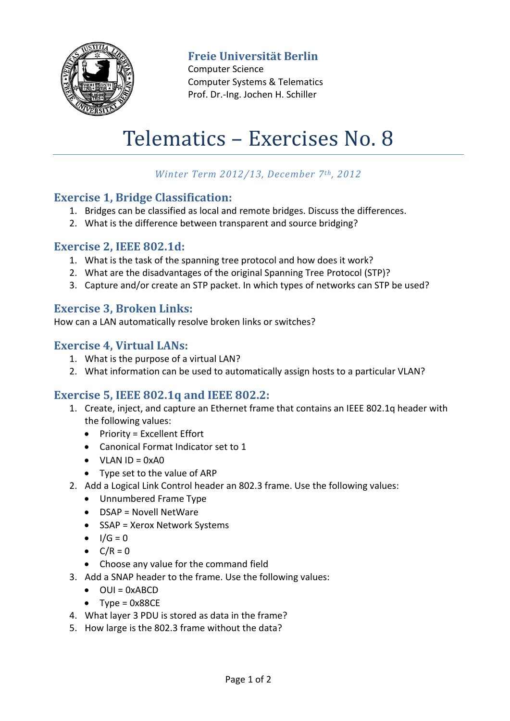

# **Freie Universität Berlin**

Computer Science Computer Systems & Telematics Prof. Dr.-Ing. Jochen H. Schiller

# Telematics – Exercises No. 8

## *Winter Term 2012/13, December 7th, 2012*

#### **Exercise 1, Bridge Classification:**

- 1. Bridges can be classified as local and remote bridges. Discuss the differences.
- 2. What is the difference between transparent and source bridging?

#### **Exercise 2, IEEE 802.1d:**

- 1. What is the task of the spanning tree protocol and how does it work?
- 2. What are the disadvantages of the original Spanning Tree Protocol (STP)?
- 3. Capture and/or create an STP packet. In which types of networks can STP be used?

# **Exercise 3, Broken Links:**

How can a LAN automatically resolve broken links or switches?

#### **Exercise 4, Virtual LANs:**

- 1. What is the purpose of a virtual LAN?
- 2. What information can be used to automatically assign hosts to a particular VLAN?

### **Exercise 5, IEEE 802.1q and IEEE 802.2:**

- 1. Create, inject, and capture an Ethernet frame that contains an IEEE 802.1q header with the following values:
	- $\bullet$  Priority = Excellent Effort
	- Canonical Format Indicator set to 1
	- $\bullet$  VLAN ID = 0xA0
	- Type set to the value of ARP
- 2. Add a Logical Link Control header an 802.3 frame. Use the following values:
	- Unnumbered Frame Type
	- DSAP = Novell NetWare
	- SSAP = Xerox Network Systems
	- $I/G = 0$
	- $\bullet$   $C/R = 0$
	- Choose any value for the command field
- 3. Add a SNAP header to the frame. Use the following values:
	- $\bullet$  OUI = 0xABCD
	- $\bullet$  Type = 0x88CE
- 4. What layer 3 PDU is stored as data in the frame?
- 5. How large is the 802.3 frame without the data?